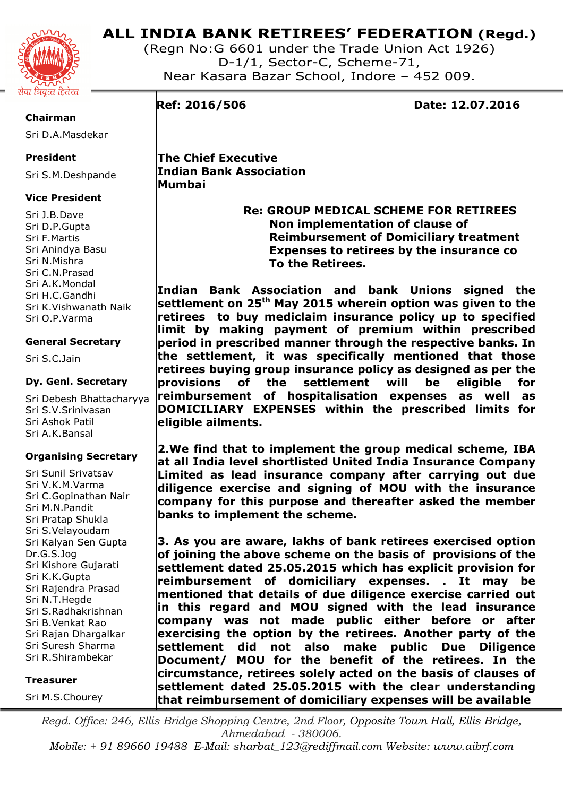

(Regn No:G 6601 under the Trade Union Act 1926) D-1/1, Sector-C, Scheme-71, Near Kasara Bazar School, Indore – 452 009.

#### **Chairman**

Sri D.A.Masdekar

# **President**

Sri S.M.Deshpande

# **Vice President**

Sri J.B.Dave Sri D.P.Gupta Sri F.Martis Sri Anindya Basu Sri N.Mishra Sri C.N.Prasad Sri A.K.Mondal Sri H.C.Gandhi Sri K.Vishwanath Naik Sri O.P.Varma

# **General Secretary**

Sri S.C.Jain

### **Dy. Genl. Secretary**

Sri Debesh Bhattacharyya Sri S.V.Srinivasan Sri Ashok Patil Sri A.K.Bansal

### **Organising Secretary**

Sri Sunil Srivatsav Sri V.K.M.Varma Sri C.Gopinathan Nair Sri M.N.Pandit Sri Pratap Shukla Sri S.Velayoudam Sri Kalyan Sen Gupta Dr.G.S.Jog Sri Kishore Gujarati Sri K.K.Gupta Sri Rajendra Prasad Sri N.T.Hegde Sri S.Radhakrishnan Sri B.Venkat Rao Sri Rajan Dhargalkar Sri Suresh Sharma Sri R.Shirambekar

#### **Treasurer**

Sri M.S.Chourey

**Ref: 2016/506 Date: 12.07.2016** 

**The Chief Executive Indian Bank Association Mumbai** 

> **Re: GROUP MEDICAL SCHEME FOR RETIREES Non implementation of clause of Reimbursement of Domiciliary treatment Expenses to retirees by the insurance co To the Retirees.**

**Indian Bank Association and bank Unions signed the settlement on 25th May 2015 wherein option was given to the retirees to buy mediclaim insurance policy up to specified limit by making payment of premium within prescribed period in prescribed manner through the respective banks. In the settlement, it was specifically mentioned that those retirees buying group insurance policy as designed as per the provisions of the settlement will be eligible for reimbursement of hospitalisation expenses as well as DOMICILIARY EXPENSES within the prescribed limits for eligible ailments.** 

**2.We find that to implement the group medical scheme, IBA at all India level shortlisted United India Insurance Company Limited as lead insurance company after carrying out due diligence exercise and signing of MOU with the insurance company for this purpose and thereafter asked the member banks to implement the scheme.** 

**3. As you are aware, lakhs of bank retirees exercised option of joining the above scheme on the basis of provisions of the settlement dated 25.05.2015 which has explicit provision for reimbursement of domiciliary expenses. . It may be mentioned that details of due diligence exercise carried out in this regard and MOU signed with the lead insurance company was not made public either before or after exercising the option by the retirees. Another party of the settlement did not also make public Due Diligence Document/ MOU for the benefit of the retirees. In the circumstance, retirees solely acted on the basis of clauses of settlement dated 25.05.2015 with the clear understanding that reimbursement of domiciliary expenses will be available** 

*Regd. Office: 246, Ellis Bridge Shopping Centre, 2nd Floor, Opposite Town Hall, Ellis Bridge, Ahmedabad - 380006.* 

*Mobile: + 91 89660 19488 E-Mail: sharbat\_123@rediffmail.com Website: www.aibrf.com*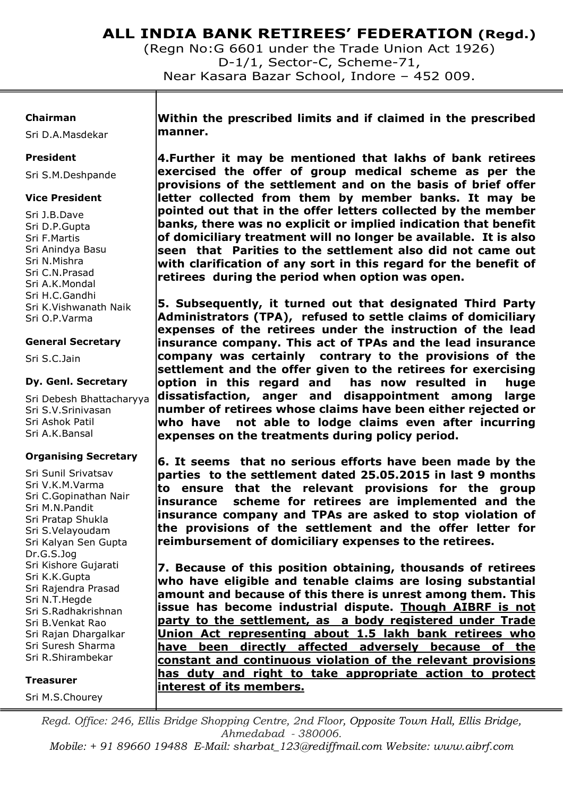(Regn No:G 6601 under the Trade Union Act 1926) D-1/1, Sector-C, Scheme-71, Near Kasara Bazar School, Indore – 452 009.

#### **Chairman**

Sri D.A.Masdekar

#### **President**

Sri S.M.Deshpande

#### **Vice President**

Sri J.B.Dave Sri D.P.Gupta Sri F.Martis Sri Anindya Basu Sri N.Mishra Sri C.N.Prasad Sri A.K.Mondal Sri H.C.Gandhi Sri K.Vishwanath Naik Sri O.P.Varma

#### **General Secretary**

Sri S.C.Jain

#### **Dy. Genl. Secretary**

Sri Debesh Bhattacharyya Sri S.V.Srinivasan Sri Ashok Patil Sri A.K.Bansal

### **Organising Secretary**

Sri Sunil Srivatsav Sri V.K.M.Varma Sri C.Gopinathan Nair Sri M.N.Pandit Sri Pratap Shukla Sri S.Velayoudam Sri Kalyan Sen Gupta Dr.G.S.Jog Sri Kishore Gujarati Sri K.K.Gupta Sri Rajendra Prasad Sri N.T.Hegde Sri S.Radhakrishnan Sri B.Venkat Rao Sri Rajan Dhargalkar Sri Suresh Sharma Sri R.Shirambekar

#### **Treasurer**

Sri M.S.Chourey

**Within the prescribed limits and if claimed in the prescribed manner.** 

**4.Further it may be mentioned that lakhs of bank retirees exercised the offer of group medical scheme as per the provisions of the settlement and on the basis of brief offer letter collected from them by member banks. It may be pointed out that in the offer letters collected by the member banks, there was no explicit or implied indication that benefit of domiciliary treatment will no longer be available. It is also seen that Parities to the settlement also did not came out with clarification of any sort in this regard for the benefit of retirees during the period when option was open.** 

**5. Subsequently, it turned out that designated Third Party Administrators (TPA), refused to settle claims of domiciliary expenses of the retirees under the instruction of the lead insurance company. This act of TPAs and the lead insurance company was certainly contrary to the provisions of the settlement and the offer given to the retirees for exercising option in this regard and has now resulted in huge dissatisfaction, anger and disappointment among large number of retirees whose claims have been either rejected or who have not able to lodge claims even after incurring expenses on the treatments during policy period.** 

**6. It seems that no serious efforts have been made by the parties to the settlement dated 25.05.2015 in last 9 months to ensure that the relevant provisions for the group insurance scheme for retirees are implemented and the insurance company and TPAs are asked to stop violation of the provisions of the settlement and the offer letter for reimbursement of domiciliary expenses to the retirees.** 

**7. Because of this position obtaining, thousands of retirees who have eligible and tenable claims are losing substantial amount and because of this there is unrest among them. This issue has become industrial dispute. Though AIBRF is not party to the settlement, as a body registered under Trade Union Act representing about 1.5 lakh bank retirees who have been directly affected adversely because of the constant and continuous violation of the relevant provisions has duty and right to take appropriate action to protect interest of its members.** 

*Regd. Office: 246, Ellis Bridge Shopping Centre, 2nd Floor, Opposite Town Hall, Ellis Bridge, Ahmedabad - 380006.* 

*Mobile: + 91 89660 19488 E-Mail: sharbat\_123@rediffmail.com Website: www.aibrf.com*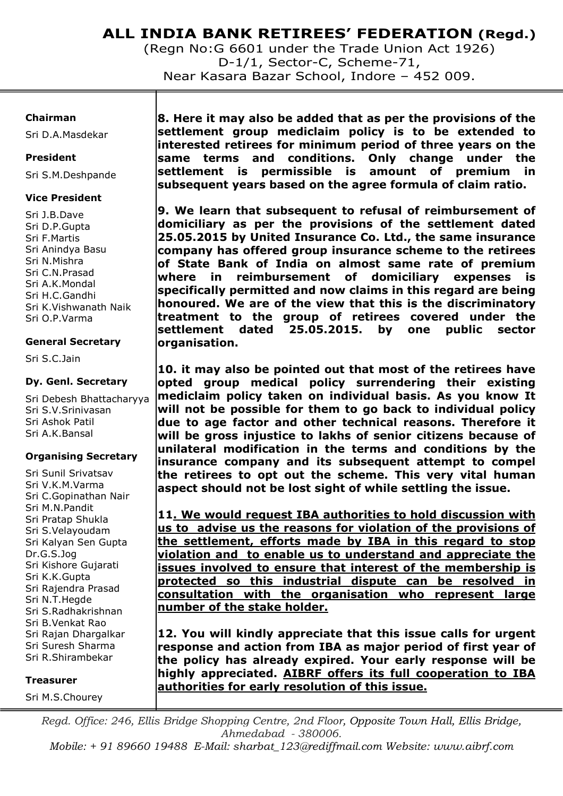(Regn No:G 6601 under the Trade Union Act 1926) D-1/1, Sector-C, Scheme-71, Near Kasara Bazar School, Indore – 452 009.

#### **Chairman**

Sri D.A.Masdekar

#### **President**

Sri S.M.Deshpande

#### **Vice President**

Sri J.B.Dave Sri D.P.Gupta Sri F.Martis Sri Anindya Basu Sri N.Mishra Sri C.N.Prasad Sri A.K.Mondal Sri H.C.Gandhi Sri K.Vishwanath Naik Sri O.P.Varma

### **General Secretary**

Sri S.C.Jain

#### **Dy. Genl. Secretary**

Sri Debesh Bhattacharyya Sri S.V.Srinivasan Sri Ashok Patil Sri A.K.Bansal

#### **Organising Secretary**

Sri Sunil Srivatsav Sri V.K.M.Varma Sri C.Gopinathan Nair Sri M.N.Pandit Sri Pratap Shukla Sri S.Velayoudam Sri Kalyan Sen Gupta Dr.G.S.Jog Sri Kishore Gujarati Sri K.K.Gupta Sri Rajendra Prasad Sri N.T.Hegde Sri S.Radhakrishnan Sri B.Venkat Rao Sri Rajan Dhargalkar Sri Suresh Sharma Sri R.Shirambekar

#### **Treasurer**

Sri M.S.Chourey

**8. Here it may also be added that as per the provisions of the settlement group mediclaim policy is to be extended to interested retirees for minimum period of three years on the same terms and conditions. Only change under the settlement is permissible is amount of premium in subsequent years based on the agree formula of claim ratio.** 

**9. We learn that subsequent to refusal of reimbursement of domiciliary as per the provisions of the settlement dated 25.05.2015 by United Insurance Co. Ltd., the same insurance company has offered group insurance scheme to the retirees of State Bank of India on almost same rate of premium where in reimbursement of domiciliary expenses is specifically permitted and now claims in this regard are being honoured. We are of the view that this is the discriminatory treatment to the group of retirees covered under the settlement dated 25.05.2015. by one public sector organisation.** 

**10. it may also be pointed out that most of the retirees have opted group medical policy surrendering their existing mediclaim policy taken on individual basis. As you know It will not be possible for them to go back to individual policy due to age factor and other technical reasons. Therefore it will be gross injustice to lakhs of senior citizens because of unilateral modification in the terms and conditions by the insurance company and its subsequent attempt to compel the retirees to opt out the scheme. This very vital human aspect should not be lost sight of while settling the issue.** 

**11. We would request IBA authorities to hold discussion with us to advise us the reasons for violation of the provisions of the settlement, efforts made by IBA in this regard to stop violation and to enable us to understand and appreciate the issues involved to ensure that interest of the membership is protected so this industrial dispute can be resolved in consultation with the organisation who represent large number of the stake holder.** 

**12. You will kindly appreciate that this issue calls for urgent response and action from IBA as major period of first year of the policy has already expired. Your early response will be highly appreciated. AIBRF offers its full cooperation to IBA authorities for early resolution of this issue.** 

*Regd. Office: 246, Ellis Bridge Shopping Centre, 2nd Floor, Opposite Town Hall, Ellis Bridge, Ahmedabad - 380006. Mobile: + 91 89660 19488 E-Mail: sharbat\_123@rediffmail.com Website: www.aibrf.com*